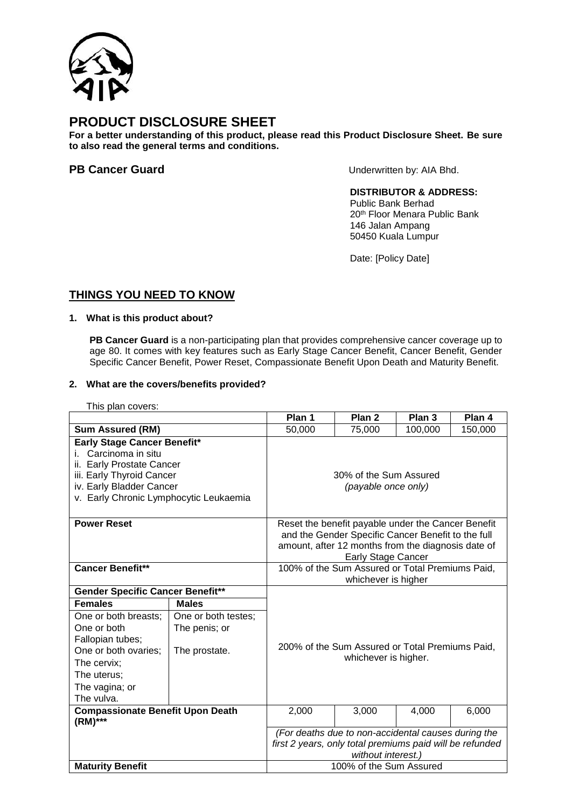

# **PRODUCT DISCLOSURE SHEET**

**For a better understanding of this product, please read this Product Disclosure Sheet. Be sure to also read the general terms and conditions.**

**PB Cancer Guard** Underwritten by: AIA Bhd.

# **DISTRIBUTOR & ADDRESS:**

Public Bank Berhad 20th Floor Menara Public Bank 146 Jalan Ampang 50450 Kuala Lumpur

Date: [Policy Date]

# **THINGS YOU NEED TO KNOW**

# **1. What is this product about?**

**PB Cancer Guard** is a non-participating plan that provides comprehensive cancer coverage up to age 80. It comes with key features such as Early Stage Cancer Benefit, Cancer Benefit, Gender Specific Cancer Benefit, Power Reset, Compassionate Benefit Upon Death and Maturity Benefit.

## **2. What are the covers/benefits provided?**

This plan covers:

|                                         |                     | Plan 1                                                                  | Plan <sub>2</sub> | Plan 3  | Plan 4  |
|-----------------------------------------|---------------------|-------------------------------------------------------------------------|-------------------|---------|---------|
| <b>Sum Assured (RM)</b>                 |                     | 50,000                                                                  | 75,000            | 100,000 | 150,000 |
| Early Stage Cancer Benefit*             |                     |                                                                         |                   |         |         |
| Carcinoma in situ                       |                     |                                                                         |                   |         |         |
| ii. Early Prostate Cancer               |                     |                                                                         |                   |         |         |
| iii. Early Thyroid Cancer               |                     | 30% of the Sum Assured                                                  |                   |         |         |
| iv. Early Bladder Cancer                |                     | (payable once only)                                                     |                   |         |         |
| v. Early Chronic Lymphocytic Leukaemia  |                     |                                                                         |                   |         |         |
|                                         |                     |                                                                         |                   |         |         |
| <b>Power Reset</b>                      |                     | Reset the benefit payable under the Cancer Benefit                      |                   |         |         |
|                                         |                     | and the Gender Specific Cancer Benefit to the full                      |                   |         |         |
|                                         |                     | amount, after 12 months from the diagnosis date of                      |                   |         |         |
|                                         |                     | <b>Early Stage Cancer</b>                                               |                   |         |         |
| <b>Cancer Benefit**</b>                 |                     | 100% of the Sum Assured or Total Premiums Paid,                         |                   |         |         |
|                                         |                     | whichever is higher                                                     |                   |         |         |
| <b>Gender Specific Cancer Benefit**</b> |                     |                                                                         |                   |         |         |
| <b>Females</b>                          | <b>Males</b>        |                                                                         |                   |         |         |
| One or both breasts;                    | One or both testes; |                                                                         |                   |         |         |
| One or both                             | The penis; or       |                                                                         |                   |         |         |
| Fallopian tubes;                        |                     |                                                                         |                   |         |         |
| One or both ovaries;                    | The prostate.       | 200% of the Sum Assured or Total Premiums Paid,<br>whichever is higher. |                   |         |         |
| The cervix;                             |                     |                                                                         |                   |         |         |
| The uterus;                             |                     |                                                                         |                   |         |         |
| The vagina; or                          |                     |                                                                         |                   |         |         |
| The vulva.                              |                     |                                                                         |                   |         |         |
| <b>Compassionate Benefit Upon Death</b> |                     | 2,000                                                                   | 3,000             | 4,000   | 6,000   |
| (RM)***                                 |                     |                                                                         |                   |         |         |
|                                         |                     | (For deaths due to non-accidental causes during the                     |                   |         |         |
|                                         |                     | first 2 years, only total premiums paid will be refunded                |                   |         |         |
|                                         |                     | without interest.)                                                      |                   |         |         |
| <b>Maturity Benefit</b>                 |                     | 100% of the Sum Assured                                                 |                   |         |         |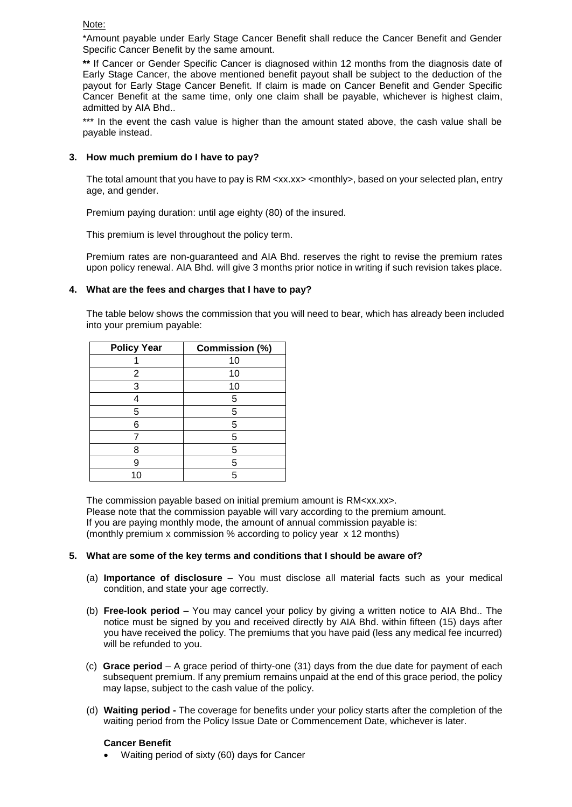Note:

\*Amount payable under Early Stage Cancer Benefit shall reduce the Cancer Benefit and Gender Specific Cancer Benefit by the same amount.

**\*\*** If Cancer or Gender Specific Cancer is diagnosed within 12 months from the diagnosis date of Early Stage Cancer, the above mentioned benefit payout shall be subject to the deduction of the payout for Early Stage Cancer Benefit. If claim is made on Cancer Benefit and Gender Specific Cancer Benefit at the same time, only one claim shall be payable, whichever is highest claim, admitted by AIA Bhd..

\*\*\* In the event the cash value is higher than the amount stated above, the cash value shall be payable instead.

## **3. How much premium do I have to pay?**

The total amount that you have to pay is RM <xx.xx> <monthly>, based on your selected plan, entry age, and gender.

Premium paying duration: until age eighty (80) of the insured.

This premium is level throughout the policy term.

Premium rates are non-guaranteed and AIA Bhd. reserves the right to revise the premium rates upon policy renewal. AIA Bhd. will give 3 months prior notice in writing if such revision takes place.

### **4. What are the fees and charges that I have to pay?**

The table below shows the commission that you will need to bear, which has already been included into your premium payable:

| <b>Policy Year</b> | Commission (%) |  |  |
|--------------------|----------------|--|--|
|                    | 10             |  |  |
| 2                  | 10             |  |  |
| 3                  | 10             |  |  |
|                    | 5              |  |  |
| 5                  | 5              |  |  |
| 6                  | 5              |  |  |
|                    | 5              |  |  |
| 8                  | 5              |  |  |
| 9                  | 5              |  |  |
|                    | 5              |  |  |

The commission payable based on initial premium amount is RM<xx.xx>. Please note that the commission payable will vary according to the premium amount. If you are paying monthly mode, the amount of annual commission payable is: (monthly premium x commission % according to policy year x 12 months)

#### **5. What are some of the key terms and conditions that I should be aware of?**

- (a) **Importance of disclosure** You must disclose all material facts such as your medical condition, and state your age correctly.
- (b) **Free-look period** You may cancel your policy by giving a written notice to AIA Bhd.. The notice must be signed by you and received directly by AIA Bhd. within fifteen (15) days after you have received the policy. The premiums that you have paid (less any medical fee incurred) will be refunded to you.
- (c) **Grace period** A grace period of thirty-one (31) days from the due date for payment of each subsequent premium. If any premium remains unpaid at the end of this grace period, the policy may lapse, subject to the cash value of the policy.
- (d) **Waiting period -** The coverage for benefits under your policy starts after the completion of the waiting period from the Policy Issue Date or Commencement Date, whichever is later.

#### **Cancer Benefit**

• Waiting period of sixty (60) days for Cancer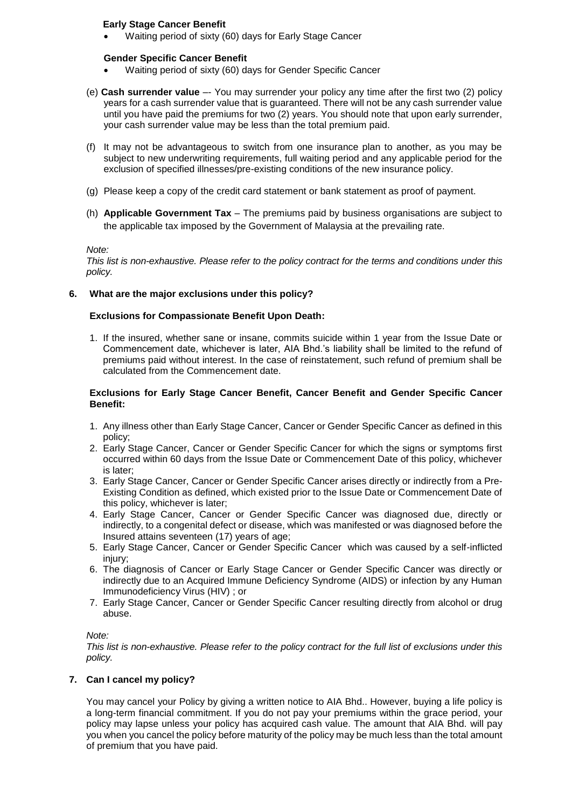# **Early Stage Cancer Benefit**

• Waiting period of sixty (60) days for Early Stage Cancer

#### **Gender Specific Cancer Benefit**

- Waiting period of sixty (60) days for Gender Specific Cancer
- (e) **Cash surrender value** –- You may surrender your policy any time after the first two (2) policy years for a cash surrender value that is guaranteed. There will not be any cash surrender value until you have paid the premiums for two (2) years. You should note that upon early surrender, your cash surrender value may be less than the total premium paid.
- (f) It may not be advantageous to switch from one insurance plan to another, as you may be subject to new underwriting requirements, full waiting period and any applicable period for the exclusion of specified illnesses/pre-existing conditions of the new insurance policy.
- (g) Please keep a copy of the credit card statement or bank statement as proof of payment.
- (h) **Applicable Government Tax** The premiums paid by business organisations are subject to the applicable tax imposed by the Government of Malaysia at the prevailing rate.

#### *Note:*

*This list is non-exhaustive. Please refer to the policy contract for the terms and conditions under this policy.*

### **6. What are the major exclusions under this policy?**

### **Exclusions for Compassionate Benefit Upon Death:**

1. If the insured, whether sane or insane, commits suicide within 1 year from the Issue Date or Commencement date, whichever is later, AIA Bhd.'s liability shall be limited to the refund of premiums paid without interest. In the case of reinstatement, such refund of premium shall be calculated from the Commencement date.

#### **Exclusions for Early Stage Cancer Benefit, Cancer Benefit and Gender Specific Cancer Benefit:**

- 1. Any illness other than Early Stage Cancer, Cancer or Gender Specific Cancer as defined in this policy;
- 2. Early Stage Cancer, Cancer or Gender Specific Cancer for which the signs or symptoms first occurred within 60 days from the Issue Date or Commencement Date of this policy, whichever is later;
- 3. Early Stage Cancer, Cancer or Gender Specific Cancer arises directly or indirectly from a Pre-Existing Condition as defined, which existed prior to the Issue Date or Commencement Date of this policy, whichever is later;
- 4. Early Stage Cancer, Cancer or Gender Specific Cancer was diagnosed due, directly or indirectly, to a congenital defect or disease, which was manifested or was diagnosed before the Insured attains seventeen (17) years of age;
- 5. Early Stage Cancer, Cancer or Gender Specific Cancer which was caused by a self-inflicted injury;
- 6. The diagnosis of Cancer or Early Stage Cancer or Gender Specific Cancer was directly or indirectly due to an Acquired Immune Deficiency Syndrome (AIDS) or infection by any Human Immunodeficiency Virus (HIV) ; or
- 7. Early Stage Cancer, Cancer or Gender Specific Cancer resulting directly from alcohol or drug abuse.

#### *Note:*

*This list is non-exhaustive. Please refer to the policy contract for the full list of exclusions under this policy.*

# **7. Can I cancel my policy?**

You may cancel your Policy by giving a written notice to AIA Bhd.. However, buying a life policy is a long-term financial commitment. If you do not pay your premiums within the grace period, your policy may lapse unless your policy has acquired cash value. The amount that AIA Bhd. will pay you when you cancel the policy before maturity of the policy may be much less than the total amount of premium that you have paid.